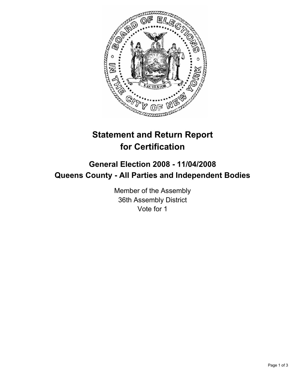

# **Statement and Return Report for Certification**

## **General Election 2008 - 11/04/2008 Queens County - All Parties and Independent Bodies**

Member of the Assembly 36th Assembly District Vote for 1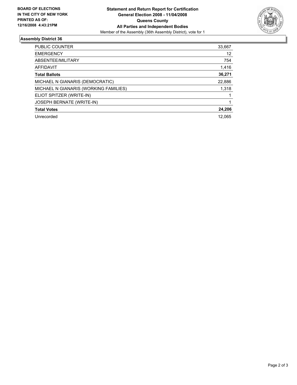

### **Assembly District 36**

| <b>PUBLIC COUNTER</b>                 | 33,667 |
|---------------------------------------|--------|
| <b>EMERGENCY</b>                      | 12     |
| ABSENTEE/MILITARY                     | 754    |
| AFFIDAVIT                             | 1,416  |
| <b>Total Ballots</b>                  | 36,271 |
| MICHAEL N GIANARIS (DEMOCRATIC)       | 22,886 |
| MICHAEL N GIANARIS (WORKING FAMILIES) | 1,318  |
| ELIOT SPITZER (WRITE-IN)              |        |
| <b>JOSEPH BERNATE (WRITE-IN)</b>      |        |
| <b>Total Votes</b>                    | 24,206 |
| Unrecorded                            | 12,065 |